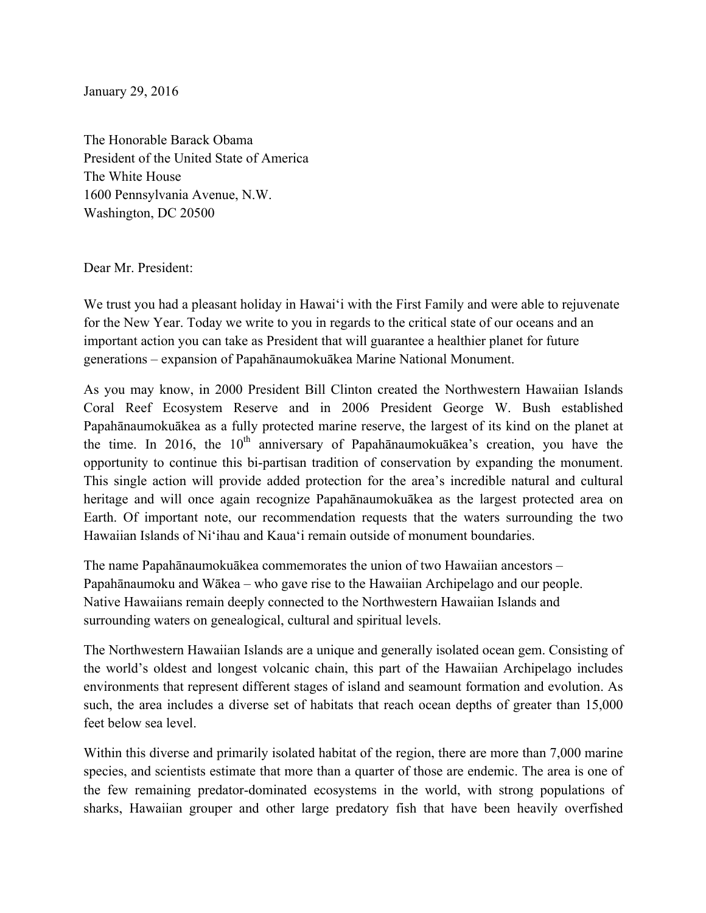January 29, 2016

The Honorable Barack Obama President of the United State of America The White House 1600 Pennsylvania Avenue, N.W. Washington, DC 20500

Dear Mr. President:

We trust you had a pleasant holiday in Hawai'i with the First Family and were able to rejuvenate for the New Year. Today we write to you in regards to the critical state of our oceans and an important action you can take as President that will guarantee a healthier planet for future generations – expansion of Papahānaumokuākea Marine National Monument.

As you may know, in 2000 President Bill Clinton created the Northwestern Hawaiian Islands Coral Reef Ecosystem Reserve and in 2006 President George W. Bush established Papahānaumokuākea as a fully protected marine reserve, the largest of its kind on the planet at the time. In 2016, the  $10<sup>th</sup>$  anniversary of Papahānaumokuākea's creation, you have the opportunity to continue this bi-partisan tradition of conservation by expanding the monument. This single action will provide added protection for the area's incredible natural and cultural heritage and will once again recognize Papahānaumokuākea as the largest protected area on Earth. Of important note, our recommendation requests that the waters surrounding the two Hawaiian Islands of Ni'ihau and Kaua'i remain outside of monument boundaries.

The name Papahānaumokuākea commemorates the union of two Hawaiian ancestors – Papahānaumoku and Wākea – who gave rise to the Hawaiian Archipelago and our people. Native Hawaiians remain deeply connected to the Northwestern Hawaiian Islands and surrounding waters on genealogical, cultural and spiritual levels.

The Northwestern Hawaiian Islands are a unique and generally isolated ocean gem. Consisting of the world's oldest and longest volcanic chain, this part of the Hawaiian Archipelago includes environments that represent different stages of island and seamount formation and evolution. As such, the area includes a diverse set of habitats that reach ocean depths of greater than 15,000 feet below sea level.

Within this diverse and primarily isolated habitat of the region, there are more than 7,000 marine species, and scientists estimate that more than a quarter of those are endemic. The area is one of the few remaining predator-dominated ecosystems in the world, with strong populations of sharks, Hawaiian grouper and other large predatory fish that have been heavily overfished